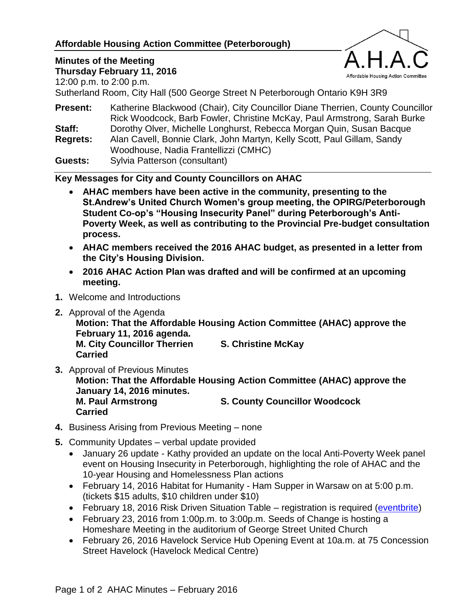#### **Affordable Housing Action Committee (Peterborough)**

# **Minutes of the Meeting**



**Thursday February 11, 2016** 12:00 p.m. to 2:00 p.m.

Sutherland Room, City Hall (500 George Street N Peterborough Ontario K9H 3R9

**Present:** Katherine Blackwood (Chair), City Councillor Diane Therrien, County Councillor Rick Woodcock, Barb Fowler, Christine McKay, Paul Armstrong, Sarah Burke **Staff:** Dorothy Olver, Michelle Longhurst, Rebecca Morgan Quin, Susan Bacque **Regrets:** Alan Cavell, Bonnie Clark, John Martyn, Kelly Scott, Paul Gillam, Sandy Woodhouse, Nadia Frantellizzi (CMHC)

**Guests:** Sylvia Patterson (consultant)

**Key Messages for City and County Councillors on AHAC**

- **AHAC members have been active in the community, presenting to the St.Andrew's United Church Women's group meeting, the OPIRG/Peterborough Student Co-op's "Housing Insecurity Panel" during Peterborough's Anti-Poverty Week, as well as contributing to the Provincial Pre-budget consultation process.**
- **AHAC members received the 2016 AHAC budget, as presented in a letter from the City's Housing Division.**
- **2016 AHAC Action Plan was drafted and will be confirmed at an upcoming meeting.**
- **1.** Welcome and Introductions
- **2.** Approval of the Agenda

**Motion: That the Affordable Housing Action Committee (AHAC) approve the February 11, 2016 agenda.**

**M. City Councillor Therrien S. Christine McKay Carried**

- **3.** Approval of Previous Minutes **Motion: That the Affordable Housing Action Committee (AHAC) approve the January 14, 2016 minutes. M. Paul Armstrong S. County Councillor Woodcock Carried**
- **4.** Business Arising from Previous Meeting none
- **5.** Community Updates verbal update provided
	- January 26 update Kathy provided an update on the local Anti-Poverty Week panel event on Housing Insecurity in Peterborough, highlighting the role of AHAC and the 10-year Housing and Homelessness Plan actions
	- February 14, 2016 Habitat for Humanity Ham Supper in Warsaw on at 5:00 p.m. (tickets \$15 adults, \$10 children under \$10)
	- February 18, 2016 Risk Driven Situation Table registration is required [\(eventbrite\)](https://www.eventbrite.ca/e/risk-driven-situation-table-a-conversation-for-peterborough-tickets-20947019098)
	- February 23, 2016 from 1:00p.m. to 3:00p.m. Seeds of Change is hosting a Homeshare Meeting in the auditorium of George Street United Church
	- February 26, 2016 Havelock Service Hub Opening Event at 10a.m. at 75 Concession Street Havelock (Havelock Medical Centre)